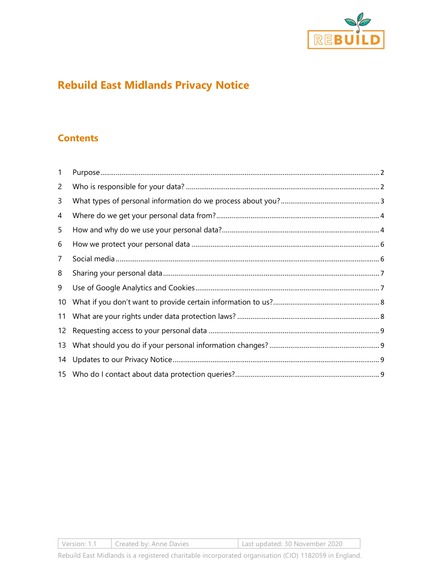

# Rebuild East Midlands Privacy Notice

# **Contents**

| 1              |  |
|----------------|--|
| 2              |  |
| 3              |  |
| 4              |  |
| 5              |  |
| 6              |  |
| $\overline{7}$ |  |
| 8              |  |
| 9              |  |
| 10             |  |
| 11             |  |
| 12             |  |
| 13             |  |
| 14             |  |
|                |  |

Version: 1.1 Created by: Anne Davies Last updated: 30 November 2020

Rebuild East Midlands is a registered charitable incorporated organisation (CIO) 1182059 in England.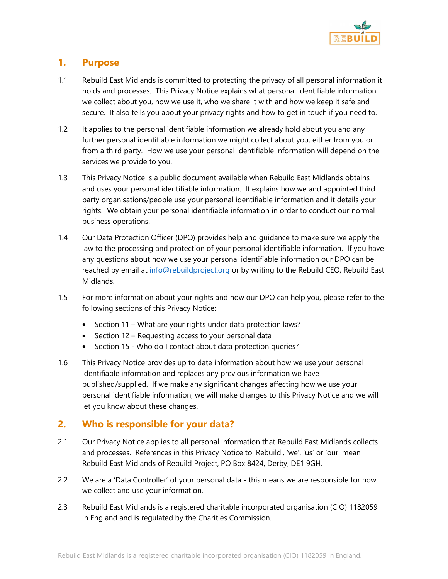

## 1. Purpose

- 1.1 Rebuild East Midlands is committed to protecting the privacy of all personal information it holds and processes. This Privacy Notice explains what personal identifiable information we collect about you, how we use it, who we share it with and how we keep it safe and secure. It also tells you about your privacy rights and how to get in touch if you need to.
- 1.2 It applies to the personal identifiable information we already hold about you and any further personal identifiable information we might collect about you, either from you or from a third party. How we use your personal identifiable information will depend on the services we provide to you.
- 1.3 This Privacy Notice is a public document available when Rebuild East Midlands obtains and uses your personal identifiable information. It explains how we and appointed third party organisations/people use your personal identifiable information and it details your rights. We obtain your personal identifiable information in order to conduct our normal business operations.
- 1.4 Our Data Protection Officer (DPO) provides help and guidance to make sure we apply the law to the processing and protection of your personal identifiable information. If you have any questions about how we use your personal identifiable information our DPO can be reached by email at info@rebuildproject.org or by writing to the Rebuild CEO, Rebuild East Midlands.
- 1.5 For more information about your rights and how our DPO can help you, please refer to the following sections of this Privacy Notice:
	- Section 11 What are your rights under data protection laws?
	- Section 12 Requesting access to your personal data
	- Section 15 Who do I contact about data protection queries?
- 1.6 This Privacy Notice provides up to date information about how we use your personal identifiable information and replaces any previous information we have published/supplied. If we make any significant changes affecting how we use your personal identifiable information, we will make changes to this Privacy Notice and we will let you know about these changes.

# 2. Who is responsible for your data?

- 2.1 Our Privacy Notice applies to all personal information that Rebuild East Midlands collects and processes. References in this Privacy Notice to 'Rebuild', 'we', 'us' or 'our' mean Rebuild East Midlands of Rebuild Project, PO Box 8424, Derby, DE1 9GH.
- 2.2 We are a 'Data Controller' of your personal data this means we are responsible for how we collect and use your information.
- 2.3 Rebuild East Midlands is a registered charitable incorporated organisation (CIO) 1182059 in England and is regulated by the Charities Commission.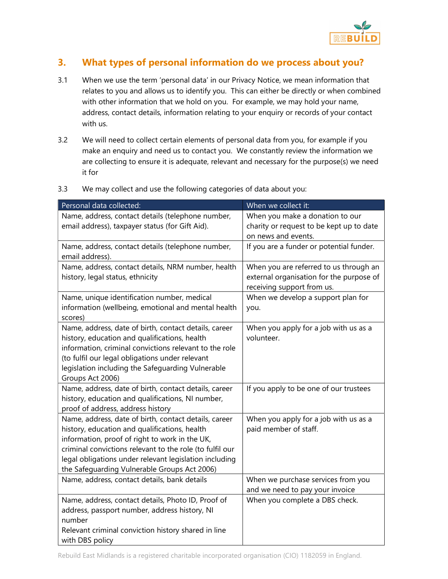

# 3. What types of personal information do we process about you?

- 3.1 When we use the term 'personal data' in our Privacy Notice, we mean information that relates to you and allows us to identify you. This can either be directly or when combined with other information that we hold on you. For example, we may hold your name, address, contact details, information relating to your enquiry or records of your contact with us.
- 3.2 We will need to collect certain elements of personal data from you, for example if you make an enquiry and need us to contact you. We constantly review the information we are collecting to ensure it is adequate, relevant and necessary for the purpose(s) we need it for

| Personal data collected:                                 | When we collect it:                      |
|----------------------------------------------------------|------------------------------------------|
| Name, address, contact details (telephone number,        | When you make a donation to our          |
| email address), taxpayer status (for Gift Aid).          | charity or request to be kept up to date |
|                                                          | on news and events.                      |
| Name, address, contact details (telephone number,        | If you are a funder or potential funder. |
| email address).                                          |                                          |
| Name, address, contact details, NRM number, health       | When you are referred to us through an   |
| history, legal status, ethnicity                         | external organisation for the purpose of |
|                                                          | receiving support from us.               |
| Name, unique identification number, medical              | When we develop a support plan for       |
| information (wellbeing, emotional and mental health      | you.                                     |
| scores)                                                  |                                          |
| Name, address, date of birth, contact details, career    | When you apply for a job with us as a    |
| history, education and qualifications, health            | volunteer.                               |
| information, criminal convictions relevant to the role   |                                          |
| (to fulfil our legal obligations under relevant          |                                          |
| legislation including the Safeguarding Vulnerable        |                                          |
| Groups Act 2006)                                         |                                          |
| Name, address, date of birth, contact details, career    | If you apply to be one of our trustees   |
| history, education and qualifications, NI number,        |                                          |
| proof of address, address history                        |                                          |
| Name, address, date of birth, contact details, career    | When you apply for a job with us as a    |
| history, education and qualifications, health            | paid member of staff.                    |
| information, proof of right to work in the UK,           |                                          |
| criminal convictions relevant to the role (to fulfil our |                                          |
| legal obligations under relevant legislation including   |                                          |
| the Safeguarding Vulnerable Groups Act 2006)             |                                          |
| Name, address, contact details, bank details             | When we purchase services from you       |
|                                                          | and we need to pay your invoice          |
| Name, address, contact details, Photo ID, Proof of       | When you complete a DBS check.           |
| address, passport number, address history, NI            |                                          |
| number                                                   |                                          |
| Relevant criminal conviction history shared in line      |                                          |
| with DBS policy                                          |                                          |

3.3 We may collect and use the following categories of data about you: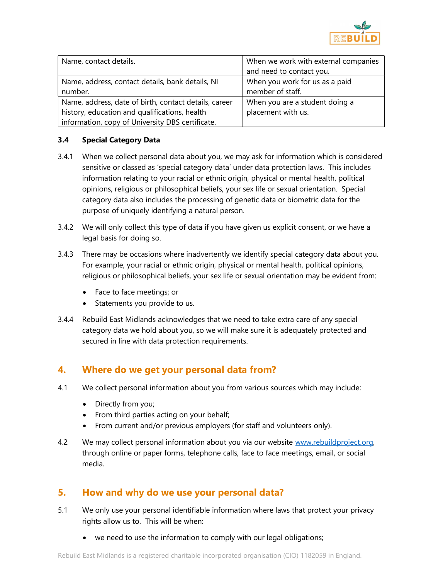

| Name, contact details.                                                                                                                                     | When we work with external companies<br>and need to contact you. |
|------------------------------------------------------------------------------------------------------------------------------------------------------------|------------------------------------------------------------------|
| Name, address, contact details, bank details, NI<br>number.                                                                                                | When you work for us as a paid<br>member of staff.               |
| Name, address, date of birth, contact details, career<br>history, education and qualifications, health<br>information, copy of University DBS certificate. | When you are a student doing a<br>placement with us.             |

#### 3.4 Special Category Data

- 3.4.1 When we collect personal data about you, we may ask for information which is considered sensitive or classed as 'special category data' under data protection laws. This includes information relating to your racial or ethnic origin, physical or mental health, political opinions, religious or philosophical beliefs, your sex life or sexual orientation. Special category data also includes the processing of genetic data or biometric data for the purpose of uniquely identifying a natural person.
- 3.4.2 We will only collect this type of data if you have given us explicit consent, or we have a legal basis for doing so.
- 3.4.3 There may be occasions where inadvertently we identify special category data about you. For example, your racial or ethnic origin, physical or mental health, political opinions, religious or philosophical beliefs, your sex life or sexual orientation may be evident from:
	- Face to face meetings; or
	- Statements you provide to us.
- 3.4.4 Rebuild East Midlands acknowledges that we need to take extra care of any special category data we hold about you, so we will make sure it is adequately protected and secured in line with data protection requirements.

## 4. Where do we get your personal data from?

- 4.1 We collect personal information about you from various sources which may include:
	- Directly from you;
	- From third parties acting on your behalf;
	- From current and/or previous employers (for staff and volunteers only).
- 4.2 We may collect personal information about you via our website www.rebuildproject.org, through online or paper forms, telephone calls, face to face meetings, email, or social media.

## 5. How and why do we use your personal data?

- 5.1 We only use your personal identifiable information where laws that protect your privacy rights allow us to. This will be when:
	- we need to use the information to comply with our legal obligations;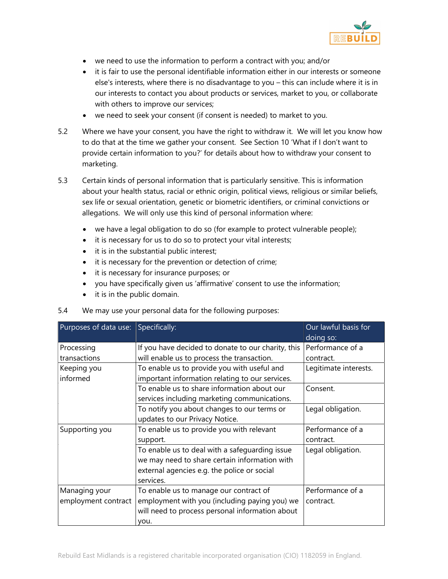

- we need to use the information to perform a contract with you; and/or
- it is fair to use the personal identifiable information either in our interests or someone else's interests, where there is no disadvantage to you – this can include where it is in our interests to contact you about products or services, market to you, or collaborate with others to improve our services;
- we need to seek your consent (if consent is needed) to market to you.
- 5.2 Where we have your consent, you have the right to withdraw it. We will let you know how to do that at the time we gather your consent. See Section 10 'What if I don't want to provide certain information to you?' for details about how to withdraw your consent to marketing.
- 5.3 Certain kinds of personal information that is particularly sensitive. This is information about your health status, racial or ethnic origin, political views, religious or similar beliefs, sex life or sexual orientation, genetic or biometric identifiers, or criminal convictions or allegations. We will only use this kind of personal information where:
	- we have a legal obligation to do so (for example to protect vulnerable people);
	- it is necessary for us to do so to protect your vital interests;
	- it is in the substantial public interest;
	- it is necessary for the prevention or detection of crime;
	- it is necessary for insurance purposes; or
	- you have specifically given us 'affirmative' consent to use the information;
	- it is in the public domain.

| D.4<br>we may use your personal data for the following purposes: |                                                                                                                                                             |                                   |  |  |  |  |
|------------------------------------------------------------------|-------------------------------------------------------------------------------------------------------------------------------------------------------------|-----------------------------------|--|--|--|--|
| Purposes of data use: Specifically:                              |                                                                                                                                                             | Our lawful basis for<br>doing so: |  |  |  |  |
| Processing                                                       | If you have decided to donate to our charity, this                                                                                                          | Performance of a                  |  |  |  |  |
| transactions                                                     | will enable us to process the transaction.                                                                                                                  | contract.                         |  |  |  |  |
| Keeping you<br>informed                                          | To enable us to provide you with useful and<br>important information relating to our services.                                                              | Legitimate interests.             |  |  |  |  |
|                                                                  | To enable us to share information about our<br>services including marketing communications.                                                                 | Consent.                          |  |  |  |  |
|                                                                  | To notify you about changes to our terms or<br>updates to our Privacy Notice.                                                                               | Legal obligation.                 |  |  |  |  |
| Supporting you                                                   | To enable us to provide you with relevant<br>support.                                                                                                       | Performance of a<br>contract.     |  |  |  |  |
|                                                                  | To enable us to deal with a safeguarding issue<br>we may need to share certain information with<br>external agencies e.g. the police or social<br>services. | Legal obligation.                 |  |  |  |  |
| Managing your<br>employment contract                             | To enable us to manage our contract of<br>employment with you (including paying you) we<br>will need to process personal information about<br>you.          | Performance of a<br>contract.     |  |  |  |  |

#### 5.4 We may use your personal data for the following purposes: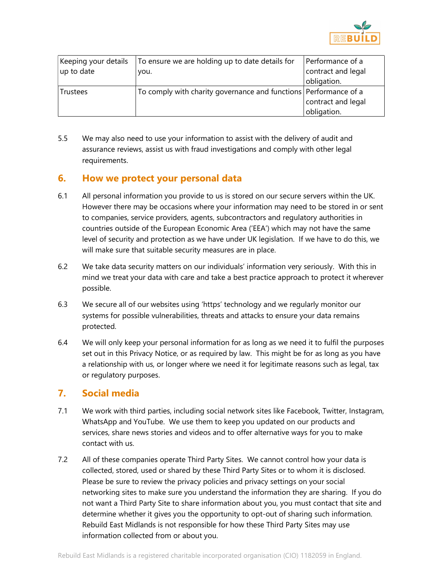

| Keeping your details | To ensure we are holding up to date details for                  | Performance of a   |
|----------------------|------------------------------------------------------------------|--------------------|
| up to date           | you.                                                             | contract and legal |
|                      |                                                                  | obligation.        |
| <b>Trustees</b>      | To comply with charity governance and functions Performance of a |                    |
|                      |                                                                  | contract and legal |
|                      |                                                                  | obligation.        |

5.5 We may also need to use your information to assist with the delivery of audit and assurance reviews, assist us with fraud investigations and comply with other legal requirements.

## 6. How we protect your personal data

- 6.1 All personal information you provide to us is stored on our secure servers within the UK. However there may be occasions where your information may need to be stored in or sent to companies, service providers, agents, subcontractors and regulatory authorities in countries outside of the European Economic Area ('EEA') which may not have the same level of security and protection as we have under UK legislation. If we have to do this, we will make sure that suitable security measures are in place.
- 6.2 We take data security matters on our individuals' information very seriously. With this in mind we treat your data with care and take a best practice approach to protect it wherever possible.
- 6.3 We secure all of our websites using 'https' technology and we regularly monitor our systems for possible vulnerabilities, threats and attacks to ensure your data remains protected.
- 6.4 We will only keep your personal information for as long as we need it to fulfil the purposes set out in this Privacy Notice, or as required by law. This might be for as long as you have a relationship with us, or longer where we need it for legitimate reasons such as legal, tax or regulatory purposes.

## 7. Social media

- 7.1 We work with third parties, including social network sites like Facebook, Twitter, Instagram, WhatsApp and YouTube. We use them to keep you updated on our products and services, share news stories and videos and to offer alternative ways for you to make contact with us.
- 7.2 All of these companies operate Third Party Sites. We cannot control how your data is collected, stored, used or shared by these Third Party Sites or to whom it is disclosed. Please be sure to review the privacy policies and privacy settings on your social networking sites to make sure you understand the information they are sharing. If you do not want a Third Party Site to share information about you, you must contact that site and determine whether it gives you the opportunity to opt-out of sharing such information. Rebuild East Midlands is not responsible for how these Third Party Sites may use information collected from or about you.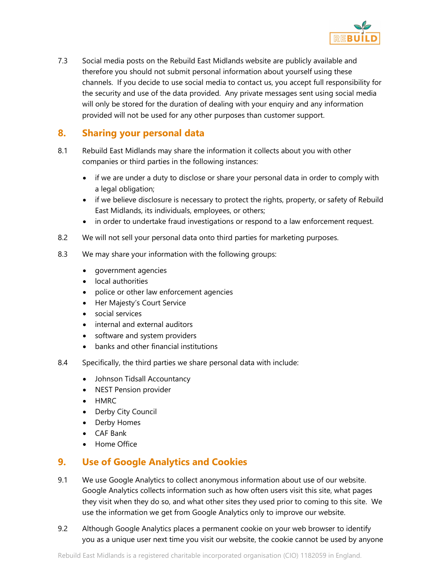

7.3 Social media posts on the Rebuild East Midlands website are publicly available and therefore you should not submit personal information about yourself using these channels. If you decide to use social media to contact us, you accept full responsibility for the security and use of the data provided. Any private messages sent using social media will only be stored for the duration of dealing with your enquiry and any information provided will not be used for any other purposes than customer support.

# 8. Sharing your personal data

- 8.1 Rebuild East Midlands may share the information it collects about you with other companies or third parties in the following instances:
	- if we are under a duty to disclose or share your personal data in order to comply with a legal obligation;
	- if we believe disclosure is necessary to protect the rights, property, or safety of Rebuild East Midlands, its individuals, employees, or others;
	- in order to undertake fraud investigations or respond to a law enforcement request.
- 8.2 We will not sell your personal data onto third parties for marketing purposes.
- 8.3 We may share your information with the following groups:
	- government agencies
	- local authorities
	- police or other law enforcement agencies
	- Her Majesty's Court Service
	- social services
	- internal and external auditors
	- software and system providers
	- banks and other financial institutions
- 8.4 Specifically, the third parties we share personal data with include:
	- Johnson Tidsall Accountancy
	- NEST Pension provider
	- HMRC
	- Derby City Council
	- Derby Homes
	- CAF Bank
	- Home Office

# 9. Use of Google Analytics and Cookies

- 9.1 We use Google Analytics to collect anonymous information about use of our website. Google Analytics collects information such as how often users visit this site, what pages they visit when they do so, and what other sites they used prior to coming to this site. We use the information we get from Google Analytics only to improve our website.
- 9.2 Although Google Analytics places a permanent cookie on your web browser to identify you as a unique user next time you visit our website, the cookie cannot be used by anyone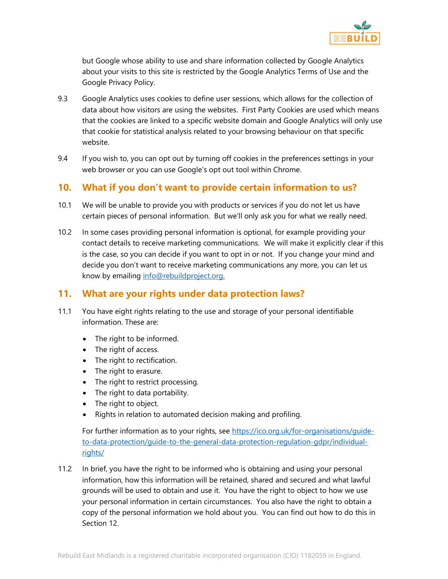

but Google whose ability to use and share information collected by Google Analytics about your visits to this site is restricted by the Google Analytics Terms of Use and the Google Privacy Policy.

- 9.3 Google Analytics uses cookies to define user sessions, which allows for the collection of data about how visitors are using the websites. First Party Cookies are used which means that the cookies are linked to a specific website domain and Google Analytics will only use that cookie for statistical analysis related to your browsing behaviour on that specific website.
- 9.4 If you wish to, you can opt out by turning off cookies in the preferences settings in your web browser or you can use Google's opt out tool within Chrome.

## 10. What if you don't want to provide certain information to us?

- 10.1 We will be unable to provide you with products or services if you do not let us have certain pieces of personal information. But we'll only ask you for what we really need.
- 10.2 In some cases providing personal information is optional, for example providing your contact details to receive marketing communications. We will make it explicitly clear if this is the case, so you can decide if you want to opt in or not. If you change your mind and decide you don't want to receive marketing communications any more, you can let us know by emailing info@rebuildproject.org.

# 11. What are your rights under data protection laws?

- 11.1 You have eight rights relating to the use and storage of your personal identifiable information. These are:
	- The right to be informed.
	- The right of access.
	- The right to rectification.
	- The right to erasure.
	- The right to restrict processing.
	- The right to data portability.
	- The right to object.
	- Rights in relation to automated decision making and profiling.

For further information as to your rights, see https://ico.org.uk/for-organisations/guideto-data-protection/guide-to-the-general-data-protection-regulation-gdpr/individualrights/

11.2 In brief, you have the right to be informed who is obtaining and using your personal information, how this information will be retained, shared and secured and what lawful grounds will be used to obtain and use it. You have the right to object to how we use your personal information in certain circumstances. You also have the right to obtain a copy of the personal information we hold about you. You can find out how to do this in Section 12.